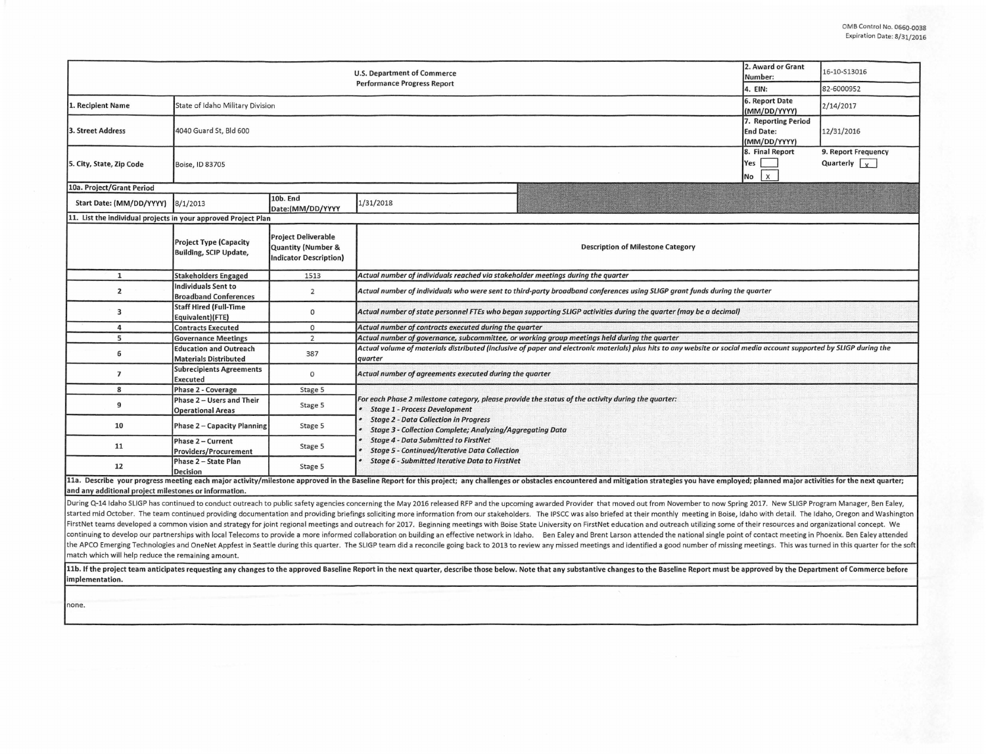|                                                                | 2. Award or Grant<br>Number:                                   | 16-10-S13016                                                               |                                                                                                                                                                                                                                                                                                                                                                                                                  |                                                                                                                                                                     |            |  |  |  |  |  |
|----------------------------------------------------------------|----------------------------------------------------------------|----------------------------------------------------------------------------|------------------------------------------------------------------------------------------------------------------------------------------------------------------------------------------------------------------------------------------------------------------------------------------------------------------------------------------------------------------------------------------------------------------|---------------------------------------------------------------------------------------------------------------------------------------------------------------------|------------|--|--|--|--|--|
|                                                                |                                                                |                                                                            | <b>Performance Progress Report</b>                                                                                                                                                                                                                                                                                                                                                                               | 4. EIN:                                                                                                                                                             | 82-6000952 |  |  |  |  |  |
| 1. Recipient Name                                              | State of Idaho Military Division                               | 6. Report Date<br>(MM/DD/YYYY)<br>7. Reporting Period                      | 2/14/2017                                                                                                                                                                                                                                                                                                                                                                                                        |                                                                                                                                                                     |            |  |  |  |  |  |
| 3. Street Address                                              | 4040 Guard St, Bld 600                                         |                                                                            |                                                                                                                                                                                                                                                                                                                                                                                                                  |                                                                                                                                                                     |            |  |  |  |  |  |
| 5. City, State, Zip Code                                       | Boise, ID 83705                                                | (MM/DD/YYYY)<br>8. Final Report<br>Yes<br>No                               |                                                                                                                                                                                                                                                                                                                                                                                                                  |                                                                                                                                                                     |            |  |  |  |  |  |
| 10a. Project/Grant Period                                      |                                                                |                                                                            |                                                                                                                                                                                                                                                                                                                                                                                                                  |                                                                                                                                                                     |            |  |  |  |  |  |
| Start Date: (MM/DD/YYYY)                                       | 8/1/2013                                                       | 10b. End<br>Date:(MM/DD/YYYY                                               | 1/31/2018                                                                                                                                                                                                                                                                                                                                                                                                        |                                                                                                                                                                     |            |  |  |  |  |  |
| 11. List the individual projects in your approved Project Plan |                                                                |                                                                            |                                                                                                                                                                                                                                                                                                                                                                                                                  |                                                                                                                                                                     |            |  |  |  |  |  |
|                                                                | <b>Project Type (Capacity</b><br><b>Building, SCIP Update,</b> | <b>Project Deliverable</b><br>Quantity (Number &<br>Indicator Description) | <b>Description of Milestone Category</b>                                                                                                                                                                                                                                                                                                                                                                         |                                                                                                                                                                     |            |  |  |  |  |  |
| $\mathbf{1}$                                                   | <b>Stakeholders Engaged</b>                                    | 1513                                                                       | Actual number of individuals reached via stakeholder meetings during the quarter                                                                                                                                                                                                                                                                                                                                 |                                                                                                                                                                     |            |  |  |  |  |  |
| $\overline{2}$                                                 | Individuals Sent to<br><b>Broadband Conferences</b>            | $\overline{2}$                                                             | Actual number of individuals who were sent to third-party broadband conferences using SLIGP grant funds during the quarter                                                                                                                                                                                                                                                                                       |                                                                                                                                                                     |            |  |  |  |  |  |
| 3                                                              | <b>Staff Hired (Full-Time</b><br>Equivalent)(FTE)              | $\circ$                                                                    | Actual number of state personnel FTEs who began supporting SLIGP activities during the quarter (may be a decimal)                                                                                                                                                                                                                                                                                                |                                                                                                                                                                     |            |  |  |  |  |  |
| 4                                                              | <b>Contracts Executed</b>                                      | $\circ$                                                                    | Actual number of contracts executed during the quarter                                                                                                                                                                                                                                                                                                                                                           |                                                                                                                                                                     |            |  |  |  |  |  |
| 5                                                              | <b>Governance Meetings</b>                                     | $\overline{2}$                                                             | Actual number of governance, subcommittee, or working group meetings held during the quarter                                                                                                                                                                                                                                                                                                                     |                                                                                                                                                                     |            |  |  |  |  |  |
| 6                                                              | <b>Education and Outreach</b><br><b>Materials Distributed</b>  | 387                                                                        | quarter                                                                                                                                                                                                                                                                                                                                                                                                          | Actual volume of materials distributed (inclusive of paper and electronic materials) plus hits to any website or social media account supported by SLIGP during the |            |  |  |  |  |  |
| $\overline{7}$                                                 | <b>Subrecipients Agreements</b><br>Executed                    | $\circ$                                                                    | Actual number of agreements executed during the quarter                                                                                                                                                                                                                                                                                                                                                          |                                                                                                                                                                     |            |  |  |  |  |  |
| 8                                                              | Phase 2 - Coverage                                             | Stage 5                                                                    |                                                                                                                                                                                                                                                                                                                                                                                                                  |                                                                                                                                                                     |            |  |  |  |  |  |
| 9                                                              | Phase 2 - Users and Their<br><b>Operational Areas</b>          | Stage 5                                                                    | For each Phase 2 milestone category, please provide the status of the activity during the quarter:<br><b>Stage 1 - Process Development</b><br><b>Stage 2 - Data Collection in Progress</b><br>Stage 3 - Collection Complete; Analyzing/Aggregating Data<br><b>Stage 4 - Data Submitted to FirstNet</b><br><b>Stage 5 - Continued/Iterative Data Collection</b><br>Stage 6 - Submitted Iterative Data to FirstNet |                                                                                                                                                                     |            |  |  |  |  |  |
| 10                                                             | Phase 2 - Capacity Planning                                    | Stage 5                                                                    |                                                                                                                                                                                                                                                                                                                                                                                                                  |                                                                                                                                                                     |            |  |  |  |  |  |
| 11                                                             | Phase 2 - Current<br><b>Providers/Procurement</b>              | Stage 5                                                                    |                                                                                                                                                                                                                                                                                                                                                                                                                  |                                                                                                                                                                     |            |  |  |  |  |  |
| 12                                                             | Phase 2 - State Plan<br>Decision                               | Stage 5                                                                    |                                                                                                                                                                                                                                                                                                                                                                                                                  |                                                                                                                                                                     |            |  |  |  |  |  |
| and any additional project milestones or information.          |                                                                |                                                                            | 11a. Describe your progress meeting each major activity/milestone approved in the Baseline Report for this project; any challenges or obstacles encountered and mitigation strategies you have employed; planned major activit                                                                                                                                                                                   |                                                                                                                                                                     |            |  |  |  |  |  |

During Q-14 Idaho SLIGP has continued to conduct outreach to public safety agencies concerning the May 2016 released RFP and the upcoming awarded Provider that moved out from November to now Spring 2017. New SLIGP Program started mid October. The team continued providing documentation and providing briefings soliciting more information from our stakeholders. The IPSCC was also briefed at their monthly meeting in Boise, Idaho with detail. Th FirstNet teams developed a common vision and strategy for joint regional meetings and outreach for 2017. Beginning meetings with Boise State University on FirstNet education and outreach utilizing some of their resources a continuing to develop our partnerships with local Telecoms to provide a more informed collaboration on building an effective network in Idaho. Ben Ealey and Brent Larson attended the national single point of contact meetin the APCO Emerging Technologies and OneNet Appfest in Seattle during this quarter. The SLIGP team did a reconcile going back to 2013 to review any missed meetings and identified a good number of missing meetings. This was t match which will help reduce the remaining amount.

11b. If the project team anticipates requesting any changes to the approved Baseline Report in the next quarter, describe those below. Note that any substantive changes to the Baseline Report must be approved by the Depart implementation.

none.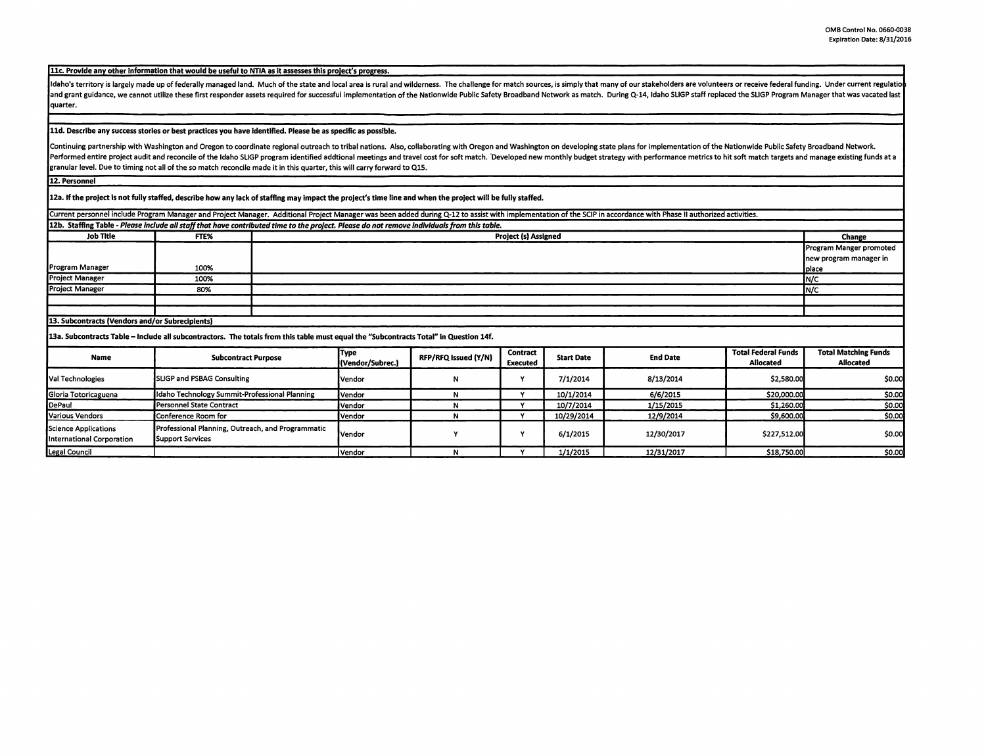11c. Provide any other information that would be useful to NTIA as it assesses this project's progress.

Idaho's territory is largely made up of federally managed land. Much of the state and local area is rural and wilderness. The challenge for match sources, is simply that many of our stakeholders are volunteers or receive f and grant guidance, we cannot utilize these first responder assets required for successful implementation of the Nationwide Public Safety Broadband Network as match. During Q-14, Idaho SLIGP staff replaced the SLIGP Progra quarter.

## **lld. Describe any success stories or best practices you have Identified. Please be as specific as possible.**

Continuing partnership with Washington and Oregon to coordinate regional outreach to tribal nations. Also, collaborating with Oregon and Washington on developing state plans for implementation of the Nationwide Public Safe Performed entire project audit and reconcile of the Idaho SLIGP program identified addtional meetings and travel cost for soft match. Developed new monthly budget strategy with performance metrics to hit soft match targets granular level. Due to timing not all of the so match reconcile made it in this quarter, this wlll carry forward to QlS.

**12. Personnel** 

12a. If the project Is not fully staffed, describe how any lack of staffing may Impact the project's time line and when the project will be fully staffed.

Current personnel include Program Manager and Project Manager. Additional Project Manager was been added during Q-12 to assist with implementation of the SCIP in accordance with Phase II authorized activities.

| 12b. Staffing Table - Please include all staff that have contributed time to the project. Please do not remove individuals from this table. |      |                             |                         |  |  |  |
|---------------------------------------------------------------------------------------------------------------------------------------------|------|-----------------------------|-------------------------|--|--|--|
| Job Title                                                                                                                                   | FTE% | <b>Project (s) Assigned</b> | Change                  |  |  |  |
|                                                                                                                                             |      |                             | Program Manger promoted |  |  |  |
|                                                                                                                                             |      |                             | new program manager in  |  |  |  |
| Program Manager                                                                                                                             | 100% |                             | Iplace                  |  |  |  |
| <b>Project Manager</b>                                                                                                                      | 100% |                             | IN/C                    |  |  |  |
| <b>Project Manager</b>                                                                                                                      | 80%  |                             | IN/C                    |  |  |  |
|                                                                                                                                             |      |                             |                         |  |  |  |
|                                                                                                                                             |      |                             |                         |  |  |  |

## 13. Subcontracts (Vendors and/or Subrecipients)

13a. Subcontracts Table - Include all subcontractors. The totals from this table must equal the "Subcontracts Total" In Question 14f.

| Name                                              | <b>Subcontract Purpose</b>                                                   | Type<br>(Vendor/Subrec.) | RFP/RFQ Issued (Y/N) | Contract<br>Executed | <b>Start Date</b> | <b>End Date</b> | <b>Total Federal Funds</b><br><b>Allocated</b> | <b>Total Matching Funds</b><br><b>Allocated</b> |
|---------------------------------------------------|------------------------------------------------------------------------------|--------------------------|----------------------|----------------------|-------------------|-----------------|------------------------------------------------|-------------------------------------------------|
| Val Technologies                                  | <b>SLIGP and PSBAG Consulting</b>                                            | Vendor                   |                      |                      | 7/1/2014          | 8/13/2014       | \$2,580.00                                     | \$0.00                                          |
| Gloria Totoricaguena                              | Idaho Technology Summit-Professional Planning                                | Vendor                   |                      |                      | 10/1/2014         | 6/6/2015        | \$20,000.00                                    | \$0.00                                          |
| <b>IDePaul</b>                                    | Personnel State Contract                                                     | Vendor                   |                      |                      | 10/7/2014         | 1/15/2015       | \$1,260.00                                     | \$0.00                                          |
| Various Vendors                                   | Conference Room for                                                          | lVendor i                |                      |                      | 10/29/2014        | 12/9/2014       | \$9,600.00                                     | \$0.00                                          |
| Science Applications<br>International Corporation | Professional Planning, Outreach, and Programmatic<br><b>Support Services</b> | iVendor                  |                      |                      | 6/1/2015          | 12/30/2017      | \$227,512.00                                   | \$0.00                                          |
| Legal Council                                     |                                                                              | l Vendor                 |                      |                      | 1/1/2015          | 12/31/2017      | \$18,750.00                                    | \$0.00                                          |